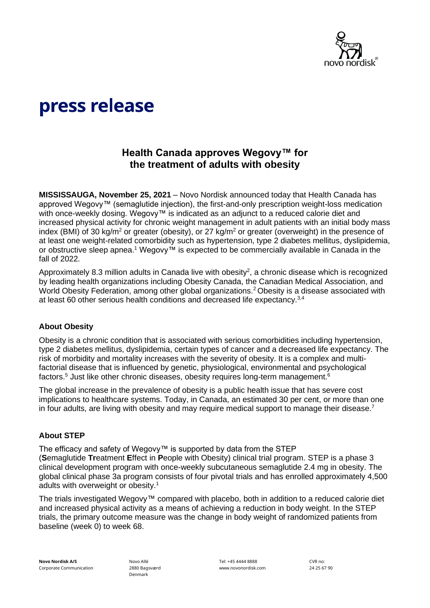

# press release

## **Health Canada approves Wegovy™ for the treatment of adults with obesity**

**MISSISSAUGA, November 25, 2021** – Novo Nordisk announced today that Health Canada has approved Wegovy™ (semaglutide injection), the first-and-only prescription weight-loss medication with once-weekly dosing. Wegovy™ is indicated as an adjunct to a reduced calorie diet and increased physical activity for chronic weight management in adult patients with an initial body mass index (BMI) of 30 kg/m<sup>2</sup> or greater (obesity), or 27 kg/m<sup>2</sup> or greater (overweight) in the presence of at least one weight-related comorbidity such as hypertension, type 2 diabetes mellitus, dyslipidemia, or obstructive sleep apnea.<sup>1</sup> Wegovy™ is expected to be commercially available in Canada in the fall of 2022.

Approximately 8.3 million adults in Canada live with obesity<sup>2</sup>, a chronic disease which is recognized by leading health organizations including Obesity Canada, the Canadian Medical Association, and World Obesity Federation, among other global organizations.<sup>2</sup> Obesity is a disease associated with at least 60 other serious health conditions and decreased life expectancy.3,4

#### **About Obesity**

Obesity is a chronic condition that is associated with serious comorbidities including hypertension, type 2 diabetes mellitus, dyslipidemia, certain types of cancer and a decreased life expectancy. The risk of morbidity and mortality increases with the severity of obesity. It is a complex and multifactorial disease that is influenced by genetic, physiological, environmental and psychological factors.<sup>5</sup> Just like other chronic diseases, obesity requires long-term management.<sup>6</sup>

The global increase in the prevalence of obesity is a public health issue that has severe cost implications to healthcare systems. Today, in Canada, an estimated 30 per cent, or more than one in four adults, are living with obesity and may require medical support to manage their disease.<sup>7</sup>

#### **About STEP**

The efficacy and safety of Wegovy™ is supported by data from the STEP (**S**emaglutide **Tr**eatment **E**ffect in **P**eople with Obesity) clinical trial program. STEP is a phase 3 clinical development program with once-weekly subcutaneous semaglutide 2.4 mg in obesity. The global clinical phase 3a program consists of four pivotal trials and has enrolled approximately 4,500 adults with overweight or obesity.<sup>1</sup>

The trials investigated Wegovy™ compared with placebo, both in addition to a reduced calorie diet and increased physical activity as a means of achieving a reduction in body weight. In the STEP trials, the primary outcome measure was the change in body weight of randomized patients from baseline (week 0) to week 68.

Novo Allé 2880 Bagsværd Denmark

Tel: +45 4444 8888 www.novonordisk.com CVR no: 24 25 67 90